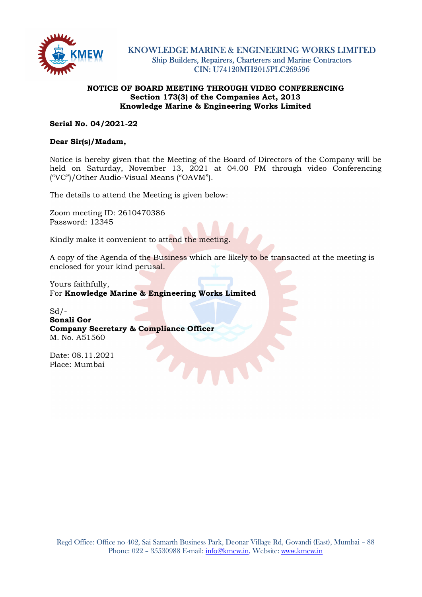

### NOTICE OF BOARD MEETING THROUGH VIDEO CONFERENCING Section 173(3) of the Companies Act, 2013 Knowledge Marine & Engineering Works Limited

### Serial No. 04/2021-22

## Dear Sir(s)/Madam,

Notice is hereby given that the Meeting of the Board of Directors of the Company will be held on Saturday, November 13, 2021 at 04.00 PM through video Conferencing ("VC")/Other Audio-Visual Means ("OAVM").

The details to attend the Meeting is given below:

Zoom meeting ID: 2610470386 Password: 12345

Kindly make it convenient to attend the meeting.

A copy of the Agenda of the Business which are likely to be transacted at the meeting is enclosed for your kind perusal.

Yours faithfully,

For Knowledge Marine & Engineering Works Limited

 $Sd$  /-Sonali Gor Company Secretary & Compliance Officer M. No. A51560

Date: 08.11.2021 Place: Mumbai